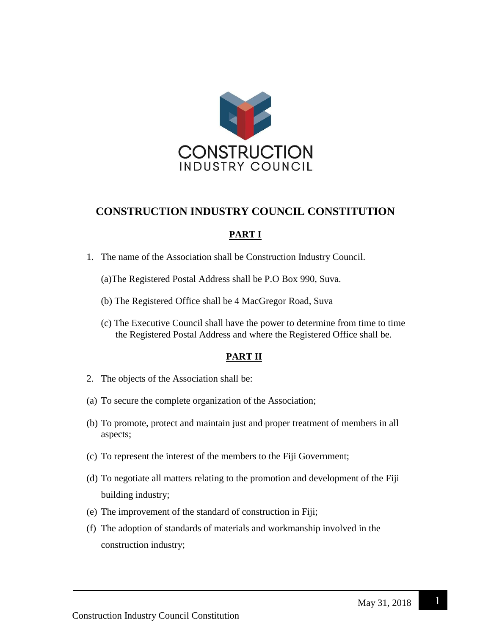

# **CONSTRUCTION INDUSTRY COUNCIL CONSTITUTION**

# **PART I**

- 1. The name of the Association shall be Construction Industry Council.
	- (a)The Registered Postal Address shall be P.O Box 990, Suva.
	- (b) The Registered Office shall be 4 MacGregor Road, Suva
	- (c) The Executive Council shall have the power to determine from time to time the Registered Postal Address and where the Registered Office shall be.

## **PART II**

- 2. The objects of the Association shall be:
- (a) To secure the complete organization of the Association;
- (b) To promote, protect and maintain just and proper treatment of members in all aspects;
- (c) To represent the interest of the members to the Fiji Government;
- (d) To negotiate all matters relating to the promotion and development of the Fiji building industry;
- (e) The improvement of the standard of construction in Fiji;
- (f) The adoption of standards of materials and workmanship involved in the construction industry;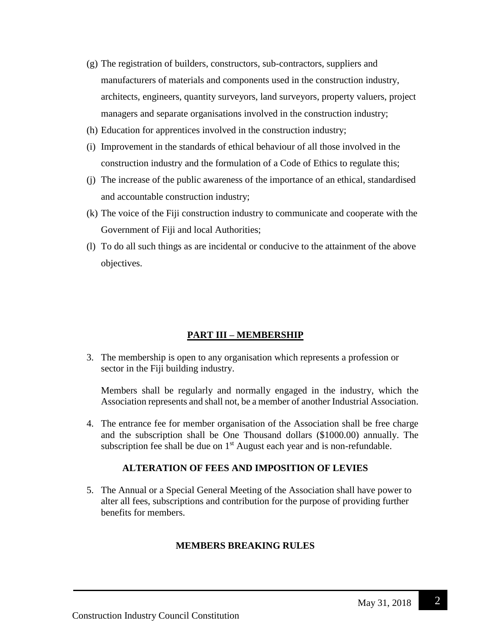- (g) The registration of builders, constructors, sub-contractors, suppliers and manufacturers of materials and components used in the construction industry, architects, engineers, quantity surveyors, land surveyors, property valuers, project managers and separate organisations involved in the construction industry;
- (h) Education for apprentices involved in the construction industry;
- (i) Improvement in the standards of ethical behaviour of all those involved in the construction industry and the formulation of a Code of Ethics to regulate this;
- (j) The increase of the public awareness of the importance of an ethical, standardised and accountable construction industry;
- (k) The voice of the Fiji construction industry to communicate and cooperate with the Government of Fiji and local Authorities;
- (l) To do all such things as are incidental or conducive to the attainment of the above objectives.

## **PART III – MEMBERSHIP**

3. The membership is open to any organisation which represents a profession or sector in the Fiji building industry.

Members shall be regularly and normally engaged in the industry, which the Association represents and shall not, be a member of another Industrial Association.

4. The entrance fee for member organisation of the Association shall be free charge and the subscription shall be One Thousand dollars (\$1000.00) annually. The subscription fee shall be due on  $1<sup>st</sup>$  August each year and is non-refundable.

## **ALTERATION OF FEES AND IMPOSITION OF LEVIES**

5. The Annual or a Special General Meeting of the Association shall have power to alter all fees, subscriptions and contribution for the purpose of providing further benefits for members.

## **MEMBERS BREAKING RULES**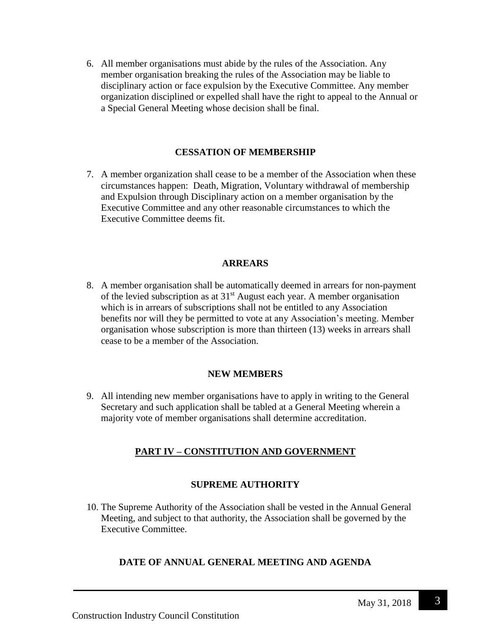6. All member organisations must abide by the rules of the Association. Any member organisation breaking the rules of the Association may be liable to disciplinary action or face expulsion by the Executive Committee. Any member organization disciplined or expelled shall have the right to appeal to the Annual or a Special General Meeting whose decision shall be final.

## **CESSATION OF MEMBERSHIP**

7. A member organization shall cease to be a member of the Association when these circumstances happen: Death, Migration, Voluntary withdrawal of membership and Expulsion through Disciplinary action on a member organisation by the Executive Committee and any other reasonable circumstances to which the Executive Committee deems fit.

## **ARREARS**

8. A member organisation shall be automatically deemed in arrears for non-payment of the levied subscription as at  $31<sup>st</sup>$  August each year. A member organisation which is in arrears of subscriptions shall not be entitled to any Association benefits nor will they be permitted to vote at any Association's meeting. Member organisation whose subscription is more than thirteen (13) weeks in arrears shall cease to be a member of the Association.

## **NEW MEMBERS**

9. All intending new member organisations have to apply in writing to the General Secretary and such application shall be tabled at a General Meeting wherein a majority vote of member organisations shall determine accreditation.

# **PART IV – CONSTITUTION AND GOVERNMENT**

# **SUPREME AUTHORITY**

10. The Supreme Authority of the Association shall be vested in the Annual General Meeting, and subject to that authority, the Association shall be governed by the Executive Committee.

# **DATE OF ANNUAL GENERAL MEETING AND AGENDA**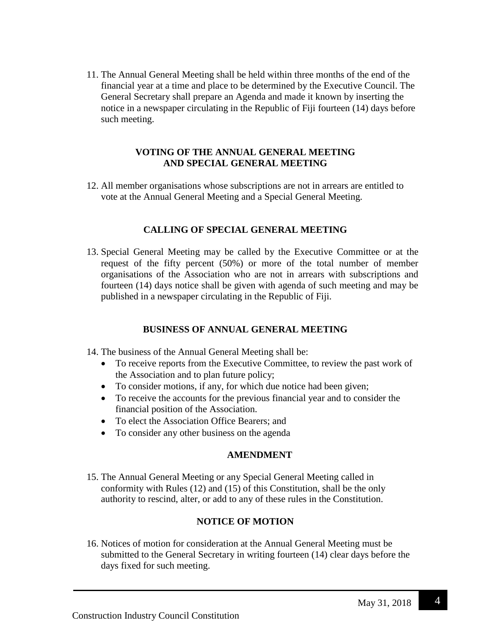11. The Annual General Meeting shall be held within three months of the end of the financial year at a time and place to be determined by the Executive Council. The General Secretary shall prepare an Agenda and made it known by inserting the notice in a newspaper circulating in the Republic of Fiji fourteen (14) days before such meeting.

#### **VOTING OF THE ANNUAL GENERAL MEETING AND SPECIAL GENERAL MEETING**

12. All member organisations whose subscriptions are not in arrears are entitled to vote at the Annual General Meeting and a Special General Meeting.

# **CALLING OF SPECIAL GENERAL MEETING**

13. Special General Meeting may be called by the Executive Committee or at the request of the fifty percent (50%) or more of the total number of member organisations of the Association who are not in arrears with subscriptions and fourteen (14) days notice shall be given with agenda of such meeting and may be published in a newspaper circulating in the Republic of Fiji.

# **BUSINESS OF ANNUAL GENERAL MEETING**

- 14. The business of the Annual General Meeting shall be:
	- To receive reports from the Executive Committee, to review the past work of the Association and to plan future policy;
	- To consider motions, if any, for which due notice had been given;
	- To receive the accounts for the previous financial year and to consider the financial position of the Association.
	- To elect the Association Office Bearers: and
	- To consider any other business on the agenda

# **AMENDMENT**

15. The Annual General Meeting or any Special General Meeting called in conformity with Rules (12) and (15) of this Constitution, shall be the only authority to rescind, alter, or add to any of these rules in the Constitution.

# **NOTICE OF MOTION**

16. Notices of motion for consideration at the Annual General Meeting must be submitted to the General Secretary in writing fourteen (14) clear days before the days fixed for such meeting.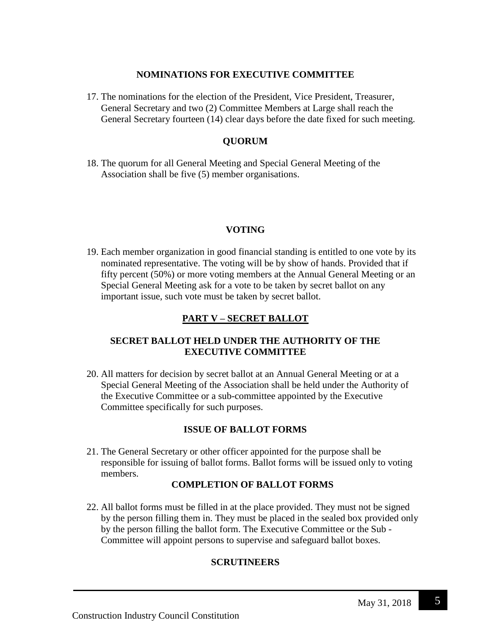#### **NOMINATIONS FOR EXECUTIVE COMMITTEE**

17. The nominations for the election of the President, Vice President, Treasurer, General Secretary and two (2) Committee Members at Large shall reach the General Secretary fourteen (14) clear days before the date fixed for such meeting.

# **QUORUM**

18. The quorum for all General Meeting and Special General Meeting of the Association shall be five (5) member organisations.

# **VOTING**

19. Each member organization in good financial standing is entitled to one vote by its nominated representative. The voting will be by show of hands. Provided that if fifty percent (50%) or more voting members at the Annual General Meeting or an Special General Meeting ask for a vote to be taken by secret ballot on any important issue, such vote must be taken by secret ballot.

# **PART V – SECRET BALLOT**

## **SECRET BALLOT HELD UNDER THE AUTHORITY OF THE EXECUTIVE COMMITTEE**

20. All matters for decision by secret ballot at an Annual General Meeting or at a Special General Meeting of the Association shall be held under the Authority of the Executive Committee or a sub-committee appointed by the Executive Committee specifically for such purposes.

## **ISSUE OF BALLOT FORMS**

21. The General Secretary or other officer appointed for the purpose shall be responsible for issuing of ballot forms. Ballot forms will be issued only to voting members.

## **COMPLETION OF BALLOT FORMS**

22. All ballot forms must be filled in at the place provided. They must not be signed by the person filling them in. They must be placed in the sealed box provided only by the person filling the ballot form. The Executive Committee or the Sub - Committee will appoint persons to supervise and safeguard ballot boxes.

## **SCRUTINEERS**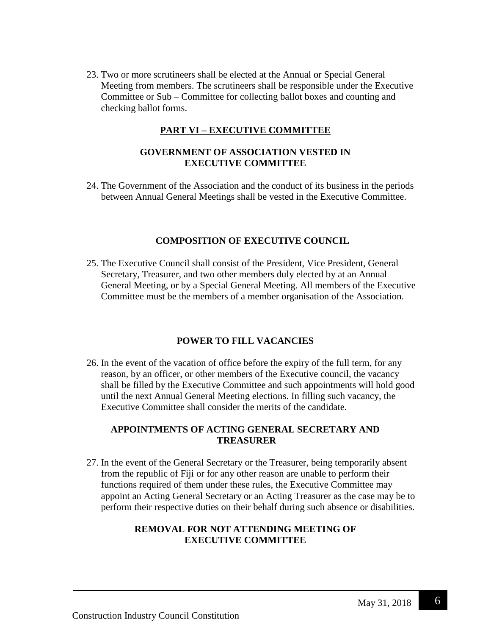23. Two or more scrutineers shall be elected at the Annual or Special General Meeting from members. The scrutineers shall be responsible under the Executive Committee or Sub – Committee for collecting ballot boxes and counting and checking ballot forms.

# **PART VI – EXECUTIVE COMMITTEE**

## **GOVERNMENT OF ASSOCIATION VESTED IN EXECUTIVE COMMITTEE**

24. The Government of the Association and the conduct of its business in the periods between Annual General Meetings shall be vested in the Executive Committee.

# **COMPOSITION OF EXECUTIVE COUNCIL**

25. The Executive Council shall consist of the President, Vice President, General Secretary, Treasurer, and two other members duly elected by at an Annual General Meeting, or by a Special General Meeting. All members of the Executive Committee must be the members of a member organisation of the Association.

# **POWER TO FILL VACANCIES**

26. In the event of the vacation of office before the expiry of the full term, for any reason, by an officer, or other members of the Executive council, the vacancy shall be filled by the Executive Committee and such appointments will hold good until the next Annual General Meeting elections. In filling such vacancy, the Executive Committee shall consider the merits of the candidate.

#### **APPOINTMENTS OF ACTING GENERAL SECRETARY AND TREASURER**

27. In the event of the General Secretary or the Treasurer, being temporarily absent from the republic of Fiji or for any other reason are unable to perform their functions required of them under these rules, the Executive Committee may appoint an Acting General Secretary or an Acting Treasurer as the case may be to perform their respective duties on their behalf during such absence or disabilities.

#### **REMOVAL FOR NOT ATTENDING MEETING OF EXECUTIVE COMMITTEE**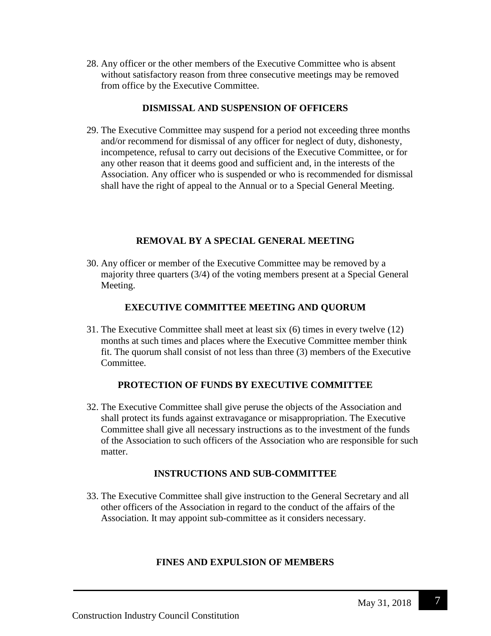28. Any officer or the other members of the Executive Committee who is absent without satisfactory reason from three consecutive meetings may be removed from office by the Executive Committee.

#### **DISMISSAL AND SUSPENSION OF OFFICERS**

29. The Executive Committee may suspend for a period not exceeding three months and/or recommend for dismissal of any officer for neglect of duty, dishonesty, incompetence, refusal to carry out decisions of the Executive Committee, or for any other reason that it deems good and sufficient and, in the interests of the Association. Any officer who is suspended or who is recommended for dismissal shall have the right of appeal to the Annual or to a Special General Meeting.

## **REMOVAL BY A SPECIAL GENERAL MEETING**

30. Any officer or member of the Executive Committee may be removed by a majority three quarters (3/4) of the voting members present at a Special General Meeting.

# **EXECUTIVE COMMITTEE MEETING AND QUORUM**

31. The Executive Committee shall meet at least six (6) times in every twelve (12) months at such times and places where the Executive Committee member think fit. The quorum shall consist of not less than three (3) members of the Executive Committee.

## **PROTECTION OF FUNDS BY EXECUTIVE COMMITTEE**

32. The Executive Committee shall give peruse the objects of the Association and shall protect its funds against extravagance or misappropriation. The Executive Committee shall give all necessary instructions as to the investment of the funds of the Association to such officers of the Association who are responsible for such matter.

## **INSTRUCTIONS AND SUB-COMMITTEE**

33. The Executive Committee shall give instruction to the General Secretary and all other officers of the Association in regard to the conduct of the affairs of the Association. It may appoint sub-committee as it considers necessary.

## **FINES AND EXPULSION OF MEMBERS**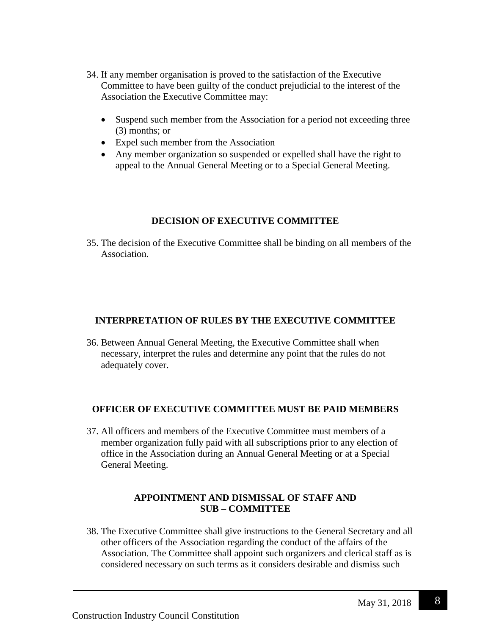- 34. If any member organisation is proved to the satisfaction of the Executive Committee to have been guilty of the conduct prejudicial to the interest of the Association the Executive Committee may:
	- Suspend such member from the Association for a period not exceeding three (3) months; or
	- Expel such member from the Association
	- Any member organization so suspended or expelled shall have the right to appeal to the Annual General Meeting or to a Special General Meeting.

## **DECISION OF EXECUTIVE COMMITTEE**

35. The decision of the Executive Committee shall be binding on all members of the Association.

#### **INTERPRETATION OF RULES BY THE EXECUTIVE COMMITTEE**

36. Between Annual General Meeting, the Executive Committee shall when necessary, interpret the rules and determine any point that the rules do not adequately cover.

## **OFFICER OF EXECUTIVE COMMITTEE MUST BE PAID MEMBERS**

37. All officers and members of the Executive Committee must members of a member organization fully paid with all subscriptions prior to any election of office in the Association during an Annual General Meeting or at a Special General Meeting.

#### **APPOINTMENT AND DISMISSAL OF STAFF AND SUB – COMMITTEE**

38. The Executive Committee shall give instructions to the General Secretary and all other officers of the Association regarding the conduct of the affairs of the Association. The Committee shall appoint such organizers and clerical staff as is considered necessary on such terms as it considers desirable and dismiss such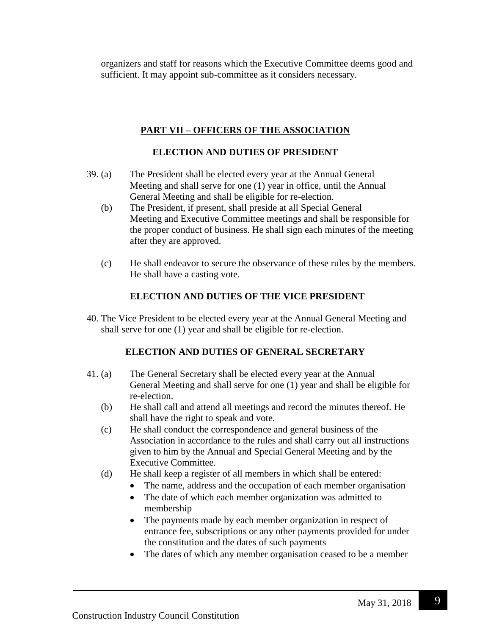organizers and staff for reasons which the Executive Committee deems good and sufficient. It may appoint sub-committee as it considers necessary.

# **PART VII – OFFICERS OF THE ASSOCIATION**

# **ELECTION AND DUTIES OF PRESIDENT**

- 39. (a) The President shall be elected every year at the Annual General Meeting and shall serve for one (1) year in office, until the Annual General Meeting and shall be eligible for re-election.
	- (b) The President, if present, shall preside at all Special General Meeting and Executive Committee meetings and shall be responsible for the proper conduct of business. He shall sign each minutes of the meeting after they are approved.
	- (c) He shall endeavor to secure the observance of these rules by the members. He shall have a casting vote.

# **ELECTION AND DUTIES OF THE VICE PRESIDENT**

40. The Vice President to be elected every year at the Annual General Meeting and shall serve for one (1) year and shall be eligible for re-election.

# **ELECTION AND DUTIES OF GENERAL SECRETARY**

- 41. (a) The General Secretary shall be elected every year at the Annual General Meeting and shall serve for one (1) year and shall be eligible for re-election.
	- (b) He shall call and attend all meetings and record the minutes thereof. He shall have the right to speak and vote.
	- (c) He shall conduct the correspondence and general business of the Association in accordance to the rules and shall carry out all instructions given to him by the Annual and Special General Meeting and by the Executive Committee.
	- (d) He shall keep a register of all members in which shall be entered:
		- The name, address and the occupation of each member organisation
		- The date of which each member organization was admitted to membership
		- The payments made by each member organization in respect of entrance fee, subscriptions or any other payments provided for under the constitution and the dates of such payments
		- The dates of which any member organisation ceased to be a member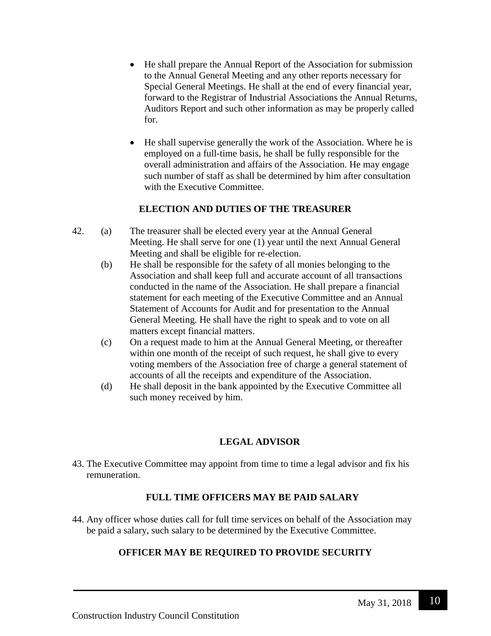- He shall prepare the Annual Report of the Association for submission to the Annual General Meeting and any other reports necessary for Special General Meetings. He shall at the end of every financial year, forward to the Registrar of Industrial Associations the Annual Returns, Auditors Report and such other information as may be properly called for.
- He shall supervise generally the work of the Association. Where he is employed on a full-time basis, he shall be fully responsible for the overall administration and affairs of the Association. He may engage such number of staff as shall be determined by him after consultation with the Executive Committee.

## **ELECTION AND DUTIES OF THE TREASURER**

- 42. (a) The treasurer shall be elected every year at the Annual General Meeting. He shall serve for one (1) year until the next Annual General Meeting and shall be eligible for re-election.
	- (b) He shall be responsible for the safety of all monies belonging to the Association and shall keep full and accurate account of all transactions conducted in the name of the Association. He shall prepare a financial statement for each meeting of the Executive Committee and an Annual Statement of Accounts for Audit and for presentation to the Annual General Meeting. He shall have the right to speak and to vote on all matters except financial matters.
	- (c) On a request made to him at the Annual General Meeting, or thereafter within one month of the receipt of such request, he shall give to every voting members of the Association free of charge a general statement of accounts of all the receipts and expenditure of the Association.
	- (d) He shall deposit in the bank appointed by the Executive Committee all such money received by him.

# **LEGAL ADVISOR**

43. The Executive Committee may appoint from time to time a legal advisor and fix his remuneration.

# **FULL TIME OFFICERS MAY BE PAID SALARY**

44. Any officer whose duties call for full time services on behalf of the Association may be paid a salary, such salary to be determined by the Executive Committee.

# **OFFICER MAY BE REQUIRED TO PROVIDE SECURITY**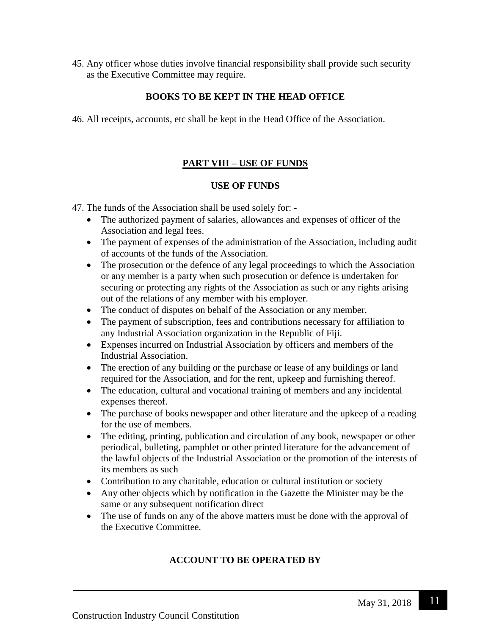45. Any officer whose duties involve financial responsibility shall provide such security as the Executive Committee may require.

# **BOOKS TO BE KEPT IN THE HEAD OFFICE**

46. All receipts, accounts, etc shall be kept in the Head Office of the Association.

# **PART VIII – USE OF FUNDS**

## **USE OF FUNDS**

47. The funds of the Association shall be used solely for: -

- The authorized payment of salaries, allowances and expenses of officer of the Association and legal fees.
- The payment of expenses of the administration of the Association, including audit of accounts of the funds of the Association.
- The prosecution or the defence of any legal proceedings to which the Association or any member is a party when such prosecution or defence is undertaken for securing or protecting any rights of the Association as such or any rights arising out of the relations of any member with his employer.
- The conduct of disputes on behalf of the Association or any member.
- The payment of subscription, fees and contributions necessary for affiliation to any Industrial Association organization in the Republic of Fiji.
- Expenses incurred on Industrial Association by officers and members of the Industrial Association.
- The erection of any building or the purchase or lease of any buildings or land required for the Association, and for the rent, upkeep and furnishing thereof.
- The education, cultural and vocational training of members and any incidental expenses thereof.
- The purchase of books newspaper and other literature and the upkeep of a reading for the use of members.
- The editing, printing, publication and circulation of any book, newspaper or other periodical, bulleting, pamphlet or other printed literature for the advancement of the lawful objects of the Industrial Association or the promotion of the interests of its members as such
- Contribution to any charitable, education or cultural institution or society
- Any other objects which by notification in the Gazette the Minister may be the same or any subsequent notification direct
- The use of funds on any of the above matters must be done with the approval of the Executive Committee.

# **ACCOUNT TO BE OPERATED BY**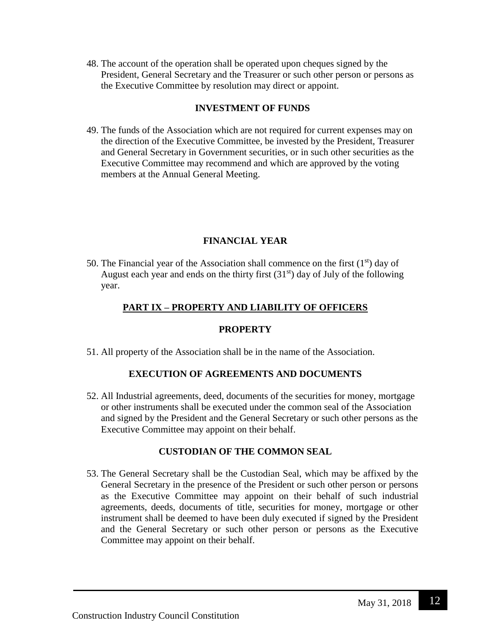48. The account of the operation shall be operated upon cheques signed by the President, General Secretary and the Treasurer or such other person or persons as the Executive Committee by resolution may direct or appoint.

## **INVESTMENT OF FUNDS**

49. The funds of the Association which are not required for current expenses may on the direction of the Executive Committee, be invested by the President, Treasurer and General Secretary in Government securities, or in such other securities as the Executive Committee may recommend and which are approved by the voting members at the Annual General Meeting.

# **FINANCIAL YEAR**

50. The Financial year of the Association shall commence on the first  $(1<sup>st</sup>)$  day of August each year and ends on the thirty first  $(31<sup>st</sup>)$  day of July of the following year.

# **PART IX – PROPERTY AND LIABILITY OF OFFICERS**

## **PROPERTY**

51. All property of the Association shall be in the name of the Association.

# **EXECUTION OF AGREEMENTS AND DOCUMENTS**

52. All Industrial agreements, deed, documents of the securities for money, mortgage or other instruments shall be executed under the common seal of the Association and signed by the President and the General Secretary or such other persons as the Executive Committee may appoint on their behalf.

# **CUSTODIAN OF THE COMMON SEAL**

53. The General Secretary shall be the Custodian Seal, which may be affixed by the General Secretary in the presence of the President or such other person or persons as the Executive Committee may appoint on their behalf of such industrial agreements, deeds, documents of title, securities for money, mortgage or other instrument shall be deemed to have been duly executed if signed by the President and the General Secretary or such other person or persons as the Executive Committee may appoint on their behalf.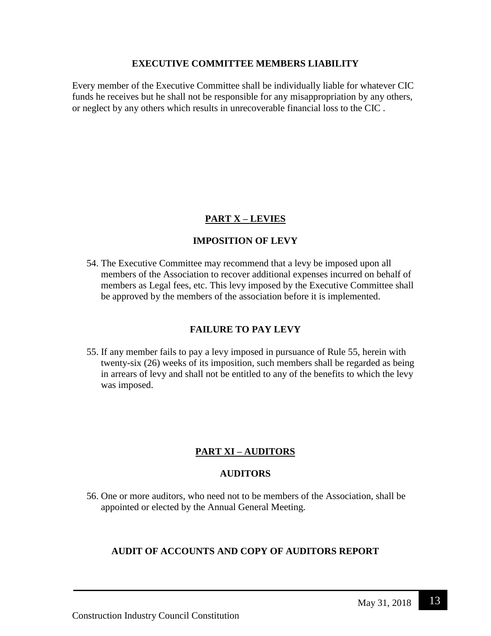#### **EXECUTIVE COMMITTEE MEMBERS LIABILITY**

Every member of the Executive Committee shall be individually liable for whatever CIC funds he receives but he shall not be responsible for any misappropriation by any others, or neglect by any others which results in unrecoverable financial loss to the CIC .

# **PART X – LEVIES**

# **IMPOSITION OF LEVY**

54. The Executive Committee may recommend that a levy be imposed upon all members of the Association to recover additional expenses incurred on behalf of members as Legal fees, etc. This levy imposed by the Executive Committee shall be approved by the members of the association before it is implemented.

## **FAILURE TO PAY LEVY**

55. If any member fails to pay a levy imposed in pursuance of Rule 55, herein with twenty-six (26) weeks of its imposition, such members shall be regarded as being in arrears of levy and shall not be entitled to any of the benefits to which the levy was imposed.

# **PART XI – AUDITORS**

#### **AUDITORS**

56. One or more auditors, who need not to be members of the Association, shall be appointed or elected by the Annual General Meeting.

## **AUDIT OF ACCOUNTS AND COPY OF AUDITORS REPORT**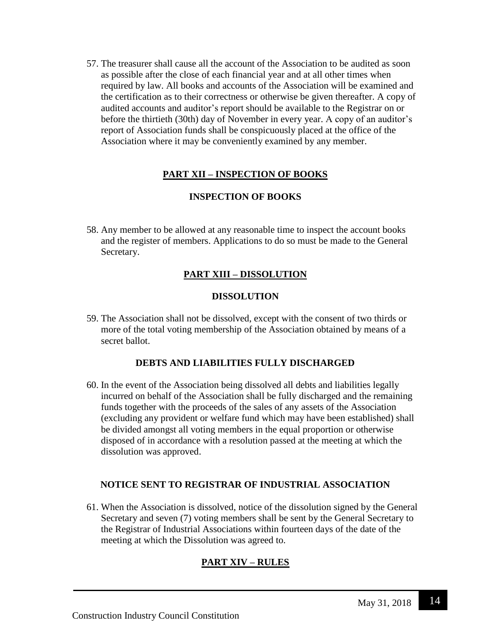57. The treasurer shall cause all the account of the Association to be audited as soon as possible after the close of each financial year and at all other times when required by law. All books and accounts of the Association will be examined and the certification as to their correctness or otherwise be given thereafter. A copy of audited accounts and auditor's report should be available to the Registrar on or before the thirtieth (30th) day of November in every year. A copy of an auditor's report of Association funds shall be conspicuously placed at the office of the Association where it may be conveniently examined by any member.

# **PART XII – INSPECTION OF BOOKS**

## **INSPECTION OF BOOKS**

58. Any member to be allowed at any reasonable time to inspect the account books and the register of members. Applications to do so must be made to the General Secretary.

# **PART XIII – DISSOLUTION**

#### **DISSOLUTION**

59. The Association shall not be dissolved, except with the consent of two thirds or more of the total voting membership of the Association obtained by means of a secret ballot.

## **DEBTS AND LIABILITIES FULLY DISCHARGED**

60. In the event of the Association being dissolved all debts and liabilities legally incurred on behalf of the Association shall be fully discharged and the remaining funds together with the proceeds of the sales of any assets of the Association (excluding any provident or welfare fund which may have been established) shall be divided amongst all voting members in the equal proportion or otherwise disposed of in accordance with a resolution passed at the meeting at which the dissolution was approved.

## **NOTICE SENT TO REGISTRAR OF INDUSTRIAL ASSOCIATION**

61. When the Association is dissolved, notice of the dissolution signed by the General Secretary and seven (7) voting members shall be sent by the General Secretary to the Registrar of Industrial Associations within fourteen days of the date of the meeting at which the Dissolution was agreed to.

# **PART XIV – RULES**